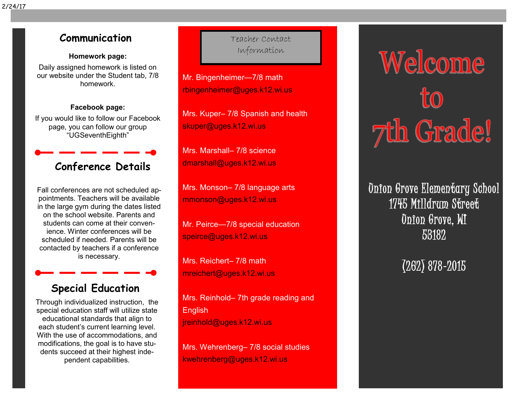# **Communication**

### **Homework page:**

Daily assigned homework is listed on our website under the Student tab, 7/8 homework.

### **Facebook page:**

If you would like to follow our Facebook page, you can follow our group "UGSeventhEighth"

# **Conference Details**

Fall conferences are not scheduled appointments. Teachers will be available in the large gym during the dates listed on the school website. Parents and students can come at their convenience. Winter conferences will be scheduled if needed. Parents will be contacted by teachers if a conference is necessary.

## **Special Education**

Through individualized instruction, the special education staff will utilize state educational standards that align to each student's current learning level. With the use of accommodations, and modifications, the goal is to have students succeed at their highest independent capabilities.

Teacher Contact Information

Mr. Bingenheimer—7/8 math [rbingenheimer@uges.k12.wi.us](mailto:rbingenheimer@uges.k12.wi.us)

Mrs. Kuper– 7/8 Spanish and health [skuper@uges.k12.wi.us](mailto:skuper@uges.k12.wi.us)

Mrs. Marshall– 7/8 science [dmarshall@uges.k12.wi.us](mailto:dmarshall@uges.k12.wi.us)

Mrs. Monson– 7/8 language arts [mmonson@uges.k12.wi.us](mailto:MMonson@uges.k12.wi.us)

Mr. Peirce—7/8 special education [speirce@uges.k12.wi.us](mailto:speirce@uges.k12.wi.us)

Mrs. Reichert– 7/8 math [mreichert@uges.k12.wi.us](mailto:mreichert@uges.k12.wi.us)

Mrs. Reinhold– 7th grade reading and English [jreinhold@uges.k12.wi.us](mailto:showard@uges.k12.wi.us)

Mrs. Wehrenberg– 7/8 social studies [kwehrenberg@uges.k12.wi.us](mailto:Kwehrenberg@UGES.K12.WI.US)

# Welcome **7th Grade!**

Union Grove Elementary School 1745 Milldrum Street Union Grove, WI 53182

(262) 878-2015